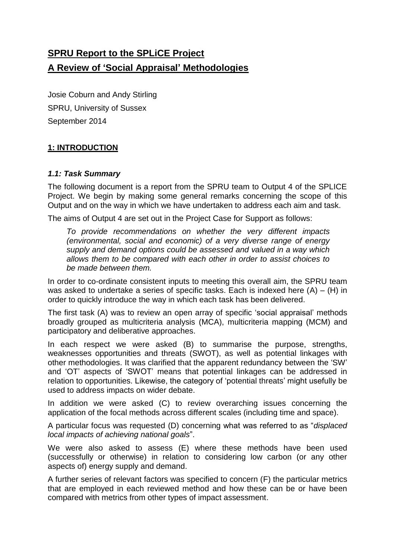# **SPRU Report to the SPLiCE Project A Review of 'Social Appraisal' Methodologies**

Josie Coburn and Andy Stirling SPRU, University of Sussex September 2014

#### **1: INTRODUCTION**

#### *1.1: Task Summary*

The following document is a report from the SPRU team to Output 4 of the SPLICE Project. We begin by making some general remarks concerning the scope of this Output and on the way in which we have undertaken to address each aim and task.

The aims of Output 4 are set out in the Project Case for Support as follows:

*To provide recommendations on whether the very different impacts (environmental, social and economic) of a very diverse range of energy supply and demand options could be assessed and valued in a way which allows them to be compared with each other in order to assist choices to be made between them.*

In order to co-ordinate consistent inputs to meeting this overall aim, the SPRU team was asked to undertake a series of specific tasks. Each is indexed here  $(A) - (H)$  in order to quickly introduce the way in which each task has been delivered.

The first task (A) was to review an open array of specific 'social appraisal' methods broadly grouped as multicriteria analysis (MCA), multicriteria mapping (MCM) and participatory and deliberative approaches.

In each respect we were asked (B) to summarise the purpose, strengths, weaknesses opportunities and threats (SWOT), as well as potential linkages with other methodologies. It was clarified that the apparent redundancy between the 'SW' and 'OT' aspects of 'SWOT' means that potential linkages can be addressed in relation to opportunities. Likewise, the category of 'potential threats' might usefully be used to address impacts on wider debate.

In addition we were asked (C) to review overarching issues concerning the application of the focal methods across different scales (including time and space).

A particular focus was requested (D) concerning what was referred to as "*displaced local impacts of achieving national goals*".

We were also asked to assess (E) where these methods have been used (successfully or otherwise) in relation to considering low carbon (or any other aspects of) energy supply and demand.

A further series of relevant factors was specified to concern (F) the particular metrics that are employed in each reviewed method and how these can be or have been compared with metrics from other types of impact assessment.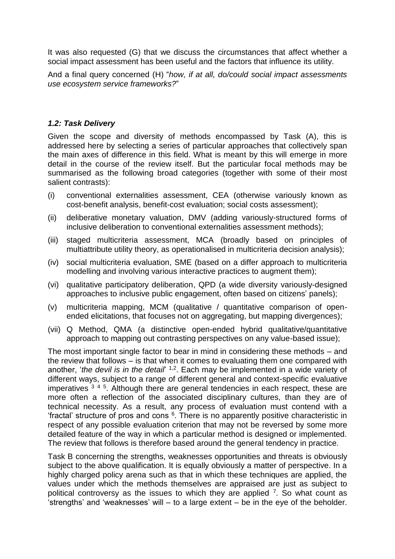It was also requested (G) that we discuss the circumstances that affect whether a social impact assessment has been useful and the factors that influence its utility.

And a final query concerned (H) "*how, if at all, do/could social impact assessments use ecosystem service frameworks?*"

#### *1.2: Task Delivery*

Given the scope and diversity of methods encompassed by Task (A), this is addressed here by selecting a series of particular approaches that collectively span the main axes of difference in this field. What is meant by this will emerge in more detail in the course of the review itself. But the particular focal methods may be summarised as the following broad categories (together with some of their most salient contrasts):

- (i) conventional externalities assessment, CEA (otherwise variously known as cost-benefit analysis, benefit-cost evaluation; social costs assessment);
- (ii) deliberative monetary valuation, DMV (adding variously-structured forms of inclusive deliberation to conventional externalities assessment methods);
- (iii) staged multicriteria assessment, MCA (broadly based on principles of multiattribute utility theory, as operationalised in multicriteria decision analysis);
- (iv) social multicriteria evaluation, SME (based on a differ approach to multicriteria modelling and involving various interactive practices to augment them);
- (vi) qualitative participatory deliberation, QPD (a wide diversity variously-designed approaches to inclusive public engagement, often based on citizens' panels);
- (v) multicriteria mapping, MCM (qualitative / quantitative comparison of openended elicitations, that focuses not on aggregating, but mapping divergences);
- (vii) Q Method, QMA (a distinctive open-ended hybrid qualitative/quantitative approach to mapping out contrasting perspectives on any value-based issue);

The most important single factor to bear in mind in considering these methods – and the review that follows – is that when it comes to evaluating them one compared with another, '*the devil is in the detail*' 1,2. Each may be implemented in a wide variety of different ways, subject to a range of different general and context-specific evaluative imperatives  $3/4/5$ . Although there are general tendencies in each respect, these are more often a reflection of the associated disciplinary cultures, than they are of technical necessity. As a result, any process of evaluation must contend with a fractal' structure of pros and cons <sup>6</sup>. There is no apparently positive characteristic in respect of any possible evaluation criterion that may not be reversed by some more detailed feature of the way in which a particular method is designed or implemented. The review that follows is therefore based around the general tendency in practice.

Task B concerning the strengths, weaknesses opportunities and threats is obviously subject to the above qualification. It is equally obviously a matter of perspective. In a highly charged policy arena such as that in which these techniques are applied, the values under which the methods themselves are appraised are just as subject to political controversy as the issues to which they are applied  $<sup>7</sup>$ . So what count as</sup> 'strengths' and 'weaknesses' will – to a large extent – be in the eye of the beholder.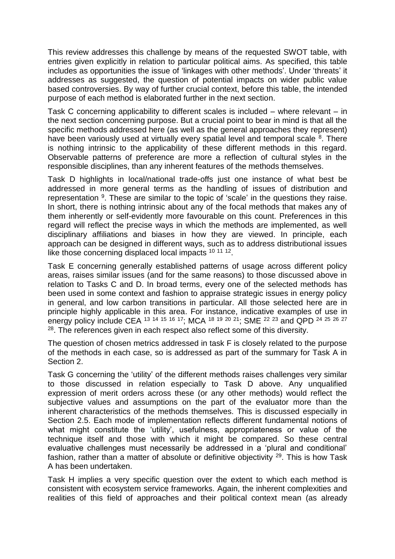This review addresses this challenge by means of the requested SWOT table, with entries given explicitly in relation to particular political aims. As specified, this table includes as opportunities the issue of 'linkages with other methods'. Under 'threats' it addresses as suggested, the question of potential impacts on wider public value based controversies. By way of further crucial context, before this table, the intended purpose of each method is elaborated further in the next section.

Task C concerning applicability to different scales is included – where relevant – in the next section concerning purpose. But a crucial point to bear in mind is that all the specific methods addressed here (as well as the general approaches they represent) have been variously used at virtually every spatial level and temporal scale  $8$ . There is nothing intrinsic to the applicability of these different methods in this regard. Observable patterns of preference are more a reflection of cultural styles in the responsible disciplines, than any inherent features of the methods themselves.

Task D highlights in local/national trade-offs just one instance of what best be addressed in more general terms as the handling of issues of distribution and representation <sup>9</sup>. These are similar to the topic of 'scale' in the questions they raise. In short, there is nothing intrinsic about any of the focal methods that makes any of them inherently or self-evidently more favourable on this count. Preferences in this regard will reflect the precise ways in which the methods are implemented, as well disciplinary affiliations and biases in how they are viewed. In principle, each approach can be designed in different ways, such as to address distributional issues like those concerning displaced local impacts <sup>10 11 12</sup>.

Task E concerning generally established patterns of usage across different policy areas, raises similar issues (and for the same reasons) to those discussed above in relation to Tasks C and D. In broad terms, every one of the selected methods has been used in some context and fashion to appraise strategic issues in energy policy in general, and low carbon transitions in particular. All those selected here are in principle highly applicable in this area. For instance, indicative examples of use in energy policy include CEA <sup>13 14 15 16 17</sup>; MCA <sup>18 19 20 21</sup>; SME <sup>22 23</sup> and QPD <sup>24 25 26</sup> <sup>27</sup> <sup>28</sup>. The references given in each respect also reflect some of this diversity.

The question of chosen metrics addressed in task F is closely related to the purpose of the methods in each case, so is addressed as part of the summary for Task A in Section 2.

Task G concerning the 'utility' of the different methods raises challenges very similar to those discussed in relation especially to Task D above. Any unqualified expression of merit orders across these (or any other methods) would reflect the subjective values and assumptions on the part of the evaluator more than the inherent characteristics of the methods themselves. This is discussed especially in Section 2.5. Each mode of implementation reflects different fundamental notions of what might constitute the 'utility', usefulness, appropriateness or value of the technique itself and those with which it might be compared. So these central evaluative challenges must necessarily be addressed in a 'plural and conditional' fashion, rather than a matter of absolute or definitive objectivity  $29$ . This is how Task A has been undertaken.

Task H implies a very specific question over the extent to which each method is consistent with ecosystem service frameworks. Again, the inherent complexities and realities of this field of approaches and their political context mean (as already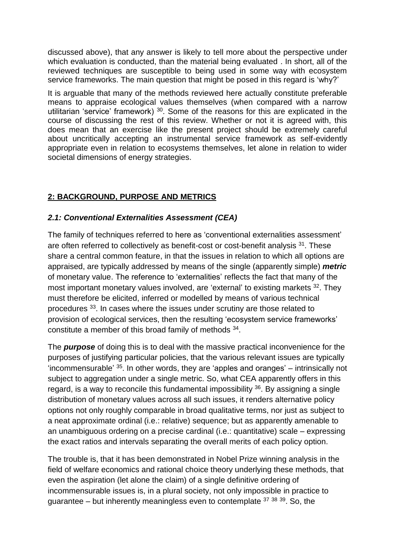discussed above), that any answer is likely to tell more about the perspective under which evaluation is conducted, than the material being evaluated . In short, all of the reviewed techniques are susceptible to being used in some way with ecosystem service frameworks. The main question that might be posed in this regard is 'why?'

It is arguable that many of the methods reviewed here actually constitute preferable means to appraise ecological values themselves (when compared with a narrow utilitarian 'service' framework) <sup>30</sup>. Some of the reasons for this are explicated in the course of discussing the rest of this review. Whether or not it is agreed with, this does mean that an exercise like the present project should be extremely careful about uncritically accepting an instrumental service framework as self-evidently appropriate even in relation to ecosystems themselves, let alone in relation to wider societal dimensions of energy strategies.

#### **2: BACKGROUND, PURPOSE AND METRICS**

#### *2.1: Conventional Externalities Assessment (CEA)*

The family of techniques referred to here as 'conventional externalities assessment' are often referred to collectively as benefit-cost or cost-benefit analysis <sup>31</sup>. These share a central common feature, in that the issues in relation to which all options are appraised, are typically addressed by means of the single (apparently simple) *metric* of monetary value. The reference to 'externalities' reflects the fact that many of the most important monetary values involved, are 'external' to existing markets <sup>32</sup>. They must therefore be elicited, inferred or modelled by means of various technical procedures <sup>33</sup>. In cases where the issues under scrutiny are those related to provision of ecological services, then the resulting 'ecosystem service frameworks' constitute a member of this broad family of methods 34.

The *purpose* of doing this is to deal with the massive practical inconvenience for the purposes of justifying particular policies, that the various relevant issues are typically 'incommensurable' <sup>35</sup>. In other words, they are 'apples and oranges' – intrinsically not subject to aggregation under a single metric. So, what CEA apparently offers in this regard, is a way to reconcile this fundamental impossibility  $36$ . By assigning a single distribution of monetary values across all such issues, it renders alternative policy options not only roughly comparable in broad qualitative terms, nor just as subject to a neat approximate ordinal (i.e.: relative) sequence; but as apparently amenable to an unambiguous ordering on a precise cardinal (i.e.: quantitative) scale – expressing the exact ratios and intervals separating the overall merits of each policy option.

The trouble is, that it has been demonstrated in Nobel Prize winning analysis in the field of welfare economics and rational choice theory underlying these methods, that even the aspiration (let alone the claim) of a single definitive ordering of incommensurable issues is, in a plural society, not only impossible in practice to quarantee – but inherently meaningless even to contemplate  $37,38,39$ . So, the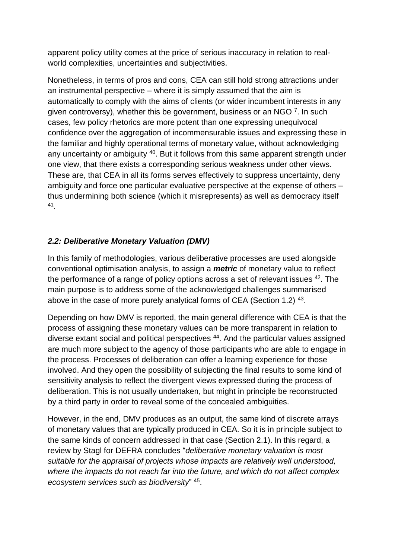apparent policy utility comes at the price of serious inaccuracy in relation to realworld complexities, uncertainties and subjectivities.

Nonetheless, in terms of pros and cons, CEA can still hold strong attractions under an instrumental perspective – where it is simply assumed that the aim is automatically to comply with the aims of clients (or wider incumbent interests in any given controversy), whether this be government, business or an NGO 7. In such cases, few policy rhetorics are more potent than one expressing unequivocal confidence over the aggregation of incommensurable issues and expressing these in the familiar and highly operational terms of monetary value, without acknowledging any uncertainty or ambiguity <sup>40</sup>. But it follows from this same apparent strength under one view, that there exists a corresponding serious weakness under other views. These are, that CEA in all its forms serves effectively to suppress uncertainty, deny ambiguity and force one particular evaluative perspective at the expense of others – thus undermining both science (which it misrepresents) as well as democracy itself 41 .

# *2.2: Deliberative Monetary Valuation (DMV)*

In this family of methodologies, various deliberative processes are used alongside conventional optimisation analysis, to assign a *metric* of monetary value to reflect the performance of a range of policy options across a set of relevant issues <sup>42</sup>. The main purpose is to address some of the acknowledged challenges summarised above in the case of more purely analytical forms of CEA (Section 1.2)  $43$ .

Depending on how DMV is reported, the main general difference with CEA is that the process of assigning these monetary values can be more transparent in relation to diverse extant social and political perspectives <sup>44</sup>. And the particular values assigned are much more subject to the agency of those participants who are able to engage in the process. Processes of deliberation can offer a learning experience for those involved. And they open the possibility of subjecting the final results to some kind of sensitivity analysis to reflect the divergent views expressed during the process of deliberation. This is not usually undertaken, but might in principle be reconstructed by a third party in order to reveal some of the concealed ambiguities.

However, in the end, DMV produces as an output, the same kind of discrete arrays of monetary values that are typically produced in CEA. So it is in principle subject to the same kinds of concern addressed in that case (Section 2.1). In this regard, a review by Stagl for DEFRA concludes "*deliberative monetary valuation is most suitable for the appraisal of projects whose impacts are relatively well understood, where the impacts do not reach far into the future, and which do not affect complex ecosystem services such as biodiversity*" <sup>45</sup> .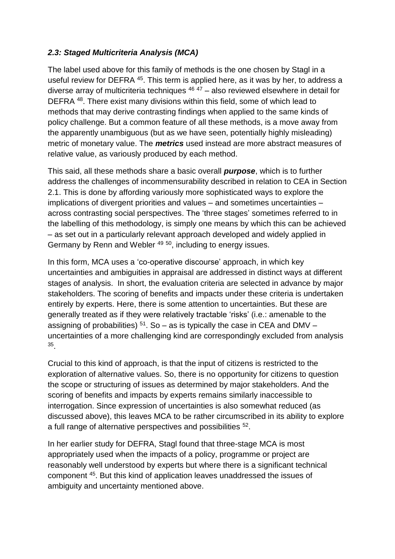# *2.3: Staged Multicriteria Analysis (MCA)*

The label used above for this family of methods is the one chosen by Stagl in a useful review for DEFRA <sup>45</sup>. This term is applied here, as it was by her, to address a diverse array of multicriteria techniques  $46$   $47$  – also reviewed elsewhere in detail for DEFRA <sup>48</sup>. There exist many divisions within this field, some of which lead to methods that may derive contrasting findings when applied to the same kinds of policy challenge. But a common feature of all these methods, is a move away from the apparently unambiguous (but as we have seen, potentially highly misleading) metric of monetary value. The *metrics* used instead are more abstract measures of relative value, as variously produced by each method.

This said, all these methods share a basic overall *purpose*, which is to further address the challenges of incommensurability described in relation to CEA in Section 2.1. This is done by affording variously more sophisticated ways to explore the implications of divergent priorities and values – and sometimes uncertainties – across contrasting social perspectives. The 'three stages' sometimes referred to in the labelling of this methodology, is simply one means by which this can be achieved – as set out in a particularly relevant approach developed and widely applied in Germany by Renn and Webler <sup>49 50</sup>, including to energy issues.

In this form, MCA uses a 'co-operative discourse' approach, in which key uncertainties and ambiguities in appraisal are addressed in distinct ways at different stages of analysis. In short, the evaluation criteria are selected in advance by major stakeholders. The scoring of benefits and impacts under these criteria is undertaken entirely by experts. Here, there is some attention to uncertainties. But these are generally treated as if they were relatively tractable 'risks' (i.e.: amenable to the assigning of probabilities)  $51$ . So – as is typically the case in CEA and DMV – uncertainties of a more challenging kind are correspondingly excluded from analysis 35 .

Crucial to this kind of approach, is that the input of citizens is restricted to the exploration of alternative values. So, there is no opportunity for citizens to question the scope or structuring of issues as determined by major stakeholders. And the scoring of benefits and impacts by experts remains similarly inaccessible to interrogation. Since expression of uncertainties is also somewhat reduced (as discussed above), this leaves MCA to be rather circumscribed in its ability to explore a full range of alternative perspectives and possibilities <sup>52</sup>.

In her earlier study for DEFRA, Stagl found that three-stage MCA is most appropriately used when the impacts of a policy, programme or project are reasonably well understood by experts but where there is a significant technical component <sup>45</sup> . But this kind of application leaves unaddressed the issues of ambiguity and uncertainty mentioned above.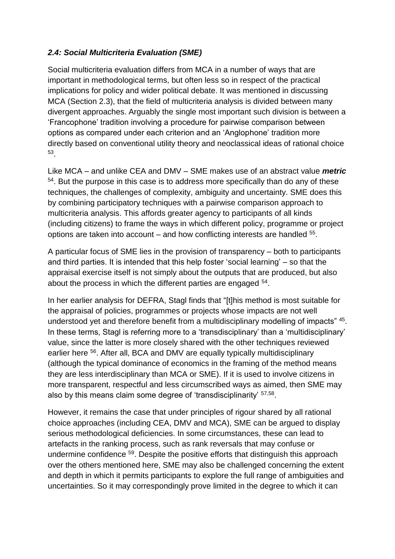#### *2.4: Social Multicriteria Evaluation (SME)*

Social multicriteria evaluation differs from MCA in a number of ways that are important in methodological terms, but often less so in respect of the practical implications for policy and wider political debate. It was mentioned in discussing MCA (Section 2.3), that the field of multicriteria analysis is divided between many divergent approaches. Arguably the single most important such division is between a 'Francophone' tradition involving a procedure for pairwise comparison between options as compared under each criterion and an 'Anglophone' tradition more directly based on conventional utility theory and neoclassical ideas of rational choice 53 .

Like MCA – and unlike CEA and DMV – SME makes use of an abstract value *metric* <sup>54</sup>. But the purpose in this case is to address more specifically than do any of these techniques, the challenges of complexity, ambiguity and uncertainty. SME does this by combining participatory techniques with a pairwise comparison approach to multicriteria analysis. This affords greater agency to participants of all kinds (including citizens) to frame the ways in which different policy, programme or project options are taken into account  $-$  and how conflicting interests are handled  $55$ .

A particular focus of SME lies in the provision of transparency – both to participants and third parties. It is intended that this help foster 'social learning' – so that the appraisal exercise itself is not simply about the outputs that are produced, but also about the process in which the different parties are engaged <sup>54</sup>.

In her earlier analysis for DEFRA, Stagl finds that "[t]his method is most suitable for the appraisal of policies, programmes or projects whose impacts are not well understood yet and therefore benefit from a multidisciplinary modelling of impacts" 45. In these terms, Stagl is referring more to a 'transdisciplinary' than a 'multidisciplinary' value, since the latter is more closely shared with the other techniques reviewed earlier here <sup>56</sup>. After all, BCA and DMV are equally typically multidisciplinary (although the typical dominance of economics in the framing of the method means they are less interdisciplinary than MCA or SME). If it is used to involve citizens in more transparent, respectful and less circumscribed ways as aimed, then SME may also by this means claim some degree of 'transdisciplinarity' 57,58.

However, it remains the case that under principles of rigour shared by all rational choice approaches (including CEA, DMV and MCA), SME can be argued to display serious methodological deficiencies. In some circumstances, these can lead to artefacts in the ranking process, such as rank reversals that may confuse or undermine confidence <sup>59</sup>. Despite the positive efforts that distinguish this approach over the others mentioned here, SME may also be challenged concerning the extent and depth in which it permits participants to explore the full range of ambiguities and uncertainties. So it may correspondingly prove limited in the degree to which it can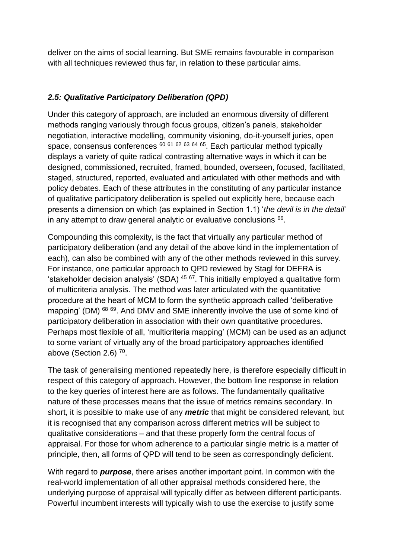deliver on the aims of social learning. But SME remains favourable in comparison with all techniques reviewed thus far, in relation to these particular aims.

# *2.5: Qualitative Participatory Deliberation (QPD)*

Under this category of approach, are included an enormous diversity of different methods ranging variously through focus groups, citizen's panels, stakeholder negotiation, interactive modelling, community visioning, do-it-yourself juries, open space, consensus conferences <sup>60</sup> <sup>61</sup> <sup>62</sup> <sup>63</sup> <sup>64</sup> <sup>65</sup>. Each particular method typically displays a variety of quite radical contrasting alternative ways in which it can be designed, commissioned, recruited, framed, bounded, overseen, focused, facilitated, staged, structured, reported, evaluated and articulated with other methods and with policy debates. Each of these attributes in the constituting of any particular instance of qualitative participatory deliberation is spelled out explicitly here, because each presents a dimension on which (as explained in Section 1.1) '*the devil is in the detail*' in any attempt to draw general analytic or evaluative conclusions  $66$ .

Compounding this complexity, is the fact that virtually any particular method of participatory deliberation (and any detail of the above kind in the implementation of each), can also be combined with any of the other methods reviewed in this survey. For instance, one particular approach to QPD reviewed by Stagl for DEFRA is 'stakeholder decision analysis' (SDA)  $45/67$ . This initially employed a qualitative form of multicriteria analysis. The method was later articulated with the quantitative procedure at the heart of MCM to form the synthetic approach called 'deliberative mapping' (DM) <sup>68 69</sup>. And DMV and SME inherently involve the use of some kind of participatory deliberation in association with their own quantitative procedures. Perhaps most flexible of all, 'multicriteria mapping' (MCM) can be used as an adjunct to some variant of virtually any of the broad participatory approaches identified above (Section 2.6)  $70$ .

The task of generalising mentioned repeatedly here, is therefore especially difficult in respect of this category of approach. However, the bottom line response in relation to the key queries of interest here are as follows. The fundamentally qualitative nature of these processes means that the issue of metrics remains secondary. In short, it is possible to make use of any *metric* that might be considered relevant, but it is recognised that any comparison across different metrics will be subject to qualitative considerations – and that these properly form the central focus of appraisal. For those for whom adherence to a particular single metric is a matter of principle, then, all forms of QPD will tend to be seen as correspondingly deficient.

With regard to *purpose*, there arises another important point. In common with the real-world implementation of all other appraisal methods considered here, the underlying purpose of appraisal will typically differ as between different participants. Powerful incumbent interests will typically wish to use the exercise to justify some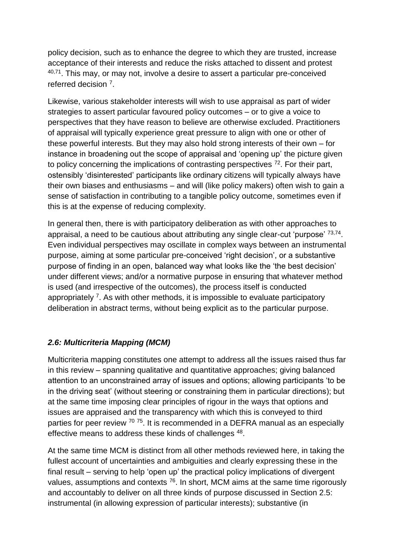policy decision, such as to enhance the degree to which they are trusted, increase acceptance of their interests and reduce the risks attached to dissent and protest 40,71. This may, or may not, involve a desire to assert a particular pre-conceived referred decision <sup>7</sup> .

Likewise, various stakeholder interests will wish to use appraisal as part of wider strategies to assert particular favoured policy outcomes – or to give a voice to perspectives that they have reason to believe are otherwise excluded. Practitioners of appraisal will typically experience great pressure to align with one or other of these powerful interests. But they may also hold strong interests of their own – for instance in broadening out the scope of appraisal and 'opening up' the picture given to policy concerning the implications of contrasting perspectives  $72$ . For their part, ostensibly 'disinterested' participants like ordinary citizens will typically always have their own biases and enthusiasms – and will (like policy makers) often wish to gain a sense of satisfaction in contributing to a tangible policy outcome, sometimes even if this is at the expense of reducing complexity.

In general then, there is with participatory deliberation as with other approaches to appraisal, a need to be cautious about attributing any single clear-cut 'purpose' <sup>73,74</sup>. Even individual perspectives may oscillate in complex ways between an instrumental purpose, aiming at some particular pre-conceived 'right decision', or a substantive purpose of finding in an open, balanced way what looks like the 'the best decision' under different views; and/or a normative purpose in ensuring that whatever method is used (and irrespective of the outcomes), the process itself is conducted appropriately <sup>7</sup>. As with other methods, it is impossible to evaluate participatory deliberation in abstract terms, without being explicit as to the particular purpose.

#### *2.6: Multicriteria Mapping (MCM)*

Multicriteria mapping constitutes one attempt to address all the issues raised thus far in this review – spanning qualitative and quantitative approaches; giving balanced attention to an unconstrained array of issues and options; allowing participants 'to be in the driving seat' (without steering or constraining them in particular directions); but at the same time imposing clear principles of rigour in the ways that options and issues are appraised and the transparency with which this is conveyed to third parties for peer review <sup>70 75</sup>. It is recommended in a DEFRA manual as an especially effective means to address these kinds of challenges <sup>48</sup>.

At the same time MCM is distinct from all other methods reviewed here, in taking the fullest account of uncertainties and ambiguities and clearly expressing these in the final result – serving to help 'open up' the practical policy implications of divergent values, assumptions and contexts <sup>76</sup>. In short, MCM aims at the same time rigorously and accountably to deliver on all three kinds of purpose discussed in Section 2.5: instrumental (in allowing expression of particular interests); substantive (in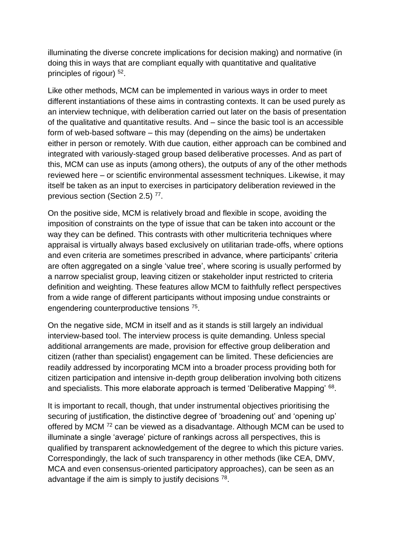illuminating the diverse concrete implications for decision making) and normative (in doing this in ways that are compliant equally with quantitative and qualitative principles of rigour) <sup>52</sup>.

Like other methods, MCM can be implemented in various ways in order to meet different instantiations of these aims in contrasting contexts. It can be used purely as an interview technique, with deliberation carried out later on the basis of presentation of the qualitative and quantitative results. And – since the basic tool is an accessible form of web-based software – this may (depending on the aims) be undertaken either in person or remotely. With due caution, either approach can be combined and integrated with variously-staged group based deliberative processes. And as part of this, MCM can use as inputs (among others), the outputs of any of the other methods reviewed here – or scientific environmental assessment techniques. Likewise, it may itself be taken as an input to exercises in participatory deliberation reviewed in the previous section (Section 2.5)<sup>77</sup>.

On the positive side, MCM is relatively broad and flexible in scope, avoiding the imposition of constraints on the type of issue that can be taken into account or the way they can be defined. This contrasts with other multicriteria techniques where appraisal is virtually always based exclusively on utilitarian trade-offs, where options and even criteria are sometimes prescribed in advance, where participants' criteria are often aggregated on a single 'value tree', where scoring is usually performed by a narrow specialist group, leaving citizen or stakeholder input restricted to criteria definition and weighting. These features allow MCM to faithfully reflect perspectives from a wide range of different participants without imposing undue constraints or engendering counterproductive tensions<sup>75</sup>.

On the negative side, MCM in itself and as it stands is still largely an individual interview-based tool. The interview process is quite demanding. Unless special additional arrangements are made, provision for effective group deliberation and citizen (rather than specialist) engagement can be limited. These deficiencies are readily addressed by incorporating MCM into a broader process providing both for citizen participation and intensive in-depth group deliberation involving both citizens and specialists. This more elaborate approach is termed 'Deliberative Mapping' <sup>68</sup>.

It is important to recall, though, that under instrumental objectives prioritising the securing of justification, the distinctive degree of 'broadening out' and 'opening up' offered by MCM <sup>72</sup> can be viewed as a disadvantage. Although MCM can be used to illuminate a single 'average' picture of rankings across all perspectives, this is qualified by transparent acknowledgement of the degree to which this picture varies. Correspondingly, the lack of such transparency in other methods (like CEA, DMV, MCA and even consensus-oriented participatory approaches), can be seen as an advantage if the aim is simply to justify decisions  $78$ .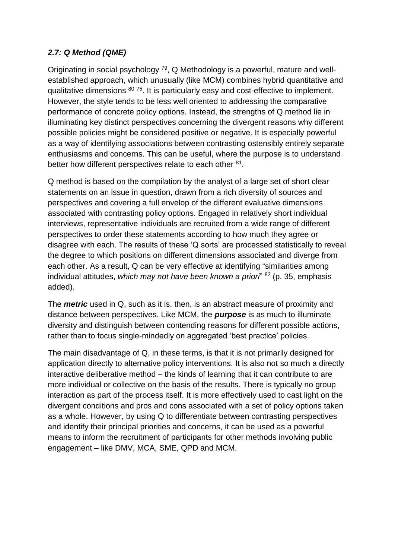# *2.7: Q Method (QME)*

Originating in social psychology <sup>79</sup>, Q Methodology is a powerful, mature and wellestablished approach, which unusually (like MCM) combines hybrid quantitative and qualitative dimensions <sup>80 75</sup>. It is particularly easy and cost-effective to implement. However, the style tends to be less well oriented to addressing the comparative performance of concrete policy options. Instead, the strengths of Q method lie in illuminating key distinct perspectives concerning the divergent reasons why different possible policies might be considered positive or negative. It is especially powerful as a way of identifying associations between contrasting ostensibly entirely separate enthusiasms and concerns. This can be useful, where the purpose is to understand better how different perspectives relate to each other <sup>81</sup>.

Q method is based on the compilation by the analyst of a large set of short clear statements on an issue in question, drawn from a rich diversity of sources and perspectives and covering a full envelop of the different evaluative dimensions associated with contrasting policy options. Engaged in relatively short individual interviews, representative individuals are recruited from a wide range of different perspectives to order these statements according to how much they agree or disagree with each. The results of these 'Q sorts' are processed statistically to reveal the degree to which positions on different dimensions associated and diverge from each other. As a result, Q can be very effective at identifying "similarities among individual attitudes, *which may not have been known a priori*" <sup>82</sup> (p. 35, emphasis added).

The *metric* used in Q, such as it is, then, is an abstract measure of proximity and distance between perspectives. Like MCM, the *purpose* is as much to illuminate diversity and distinguish between contending reasons for different possible actions, rather than to focus single-mindedly on aggregated 'best practice' policies.

The main disadvantage of Q, in these terms, is that it is not primarily designed for application directly to alternative policy interventions. It is also not so much a directly interactive deliberative method – the kinds of learning that it can contribute to are more individual or collective on the basis of the results. There is typically no group interaction as part of the process itself. It is more effectively used to cast light on the divergent conditions and pros and cons associated with a set of policy options taken as a whole. However, by using Q to differentiate between contrasting perspectives and identify their principal priorities and concerns, it can be used as a powerful means to inform the recruitment of participants for other methods involving public engagement – like DMV, MCA, SME, QPD and MCM.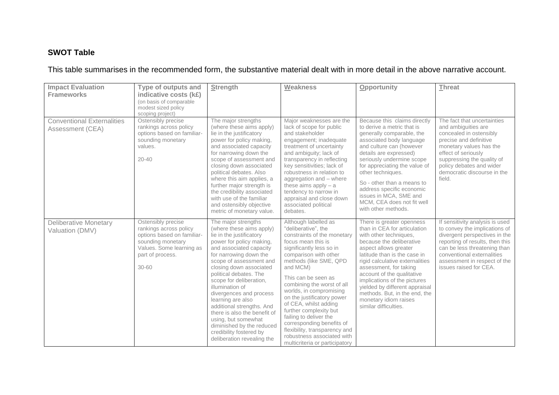# **SWOT Table**

# This table summarises in the recommended form, the substantive material dealt with in more detail in the above narrative account.

| <b>Impact Evaluation</b><br><b>Frameworks</b>         | <b>Type of outputs and</b><br>indicative costs (k£)<br>(on basis of comparable<br>modest sized policy<br>scoping project)                                    | <b>Strength</b>                                                                                                                                                                                                                                                                                                                                                                                                                                                                                                      | <b>Weakness</b>                                                                                                                                                                                                                                                                                                                                                                                                                                                                                                      | Opportunity                                                                                                                                                                                                                                                                                                                                                                                                              | <b>Threat</b>                                                                                                                                                                                                                                                |
|-------------------------------------------------------|--------------------------------------------------------------------------------------------------------------------------------------------------------------|----------------------------------------------------------------------------------------------------------------------------------------------------------------------------------------------------------------------------------------------------------------------------------------------------------------------------------------------------------------------------------------------------------------------------------------------------------------------------------------------------------------------|----------------------------------------------------------------------------------------------------------------------------------------------------------------------------------------------------------------------------------------------------------------------------------------------------------------------------------------------------------------------------------------------------------------------------------------------------------------------------------------------------------------------|--------------------------------------------------------------------------------------------------------------------------------------------------------------------------------------------------------------------------------------------------------------------------------------------------------------------------------------------------------------------------------------------------------------------------|--------------------------------------------------------------------------------------------------------------------------------------------------------------------------------------------------------------------------------------------------------------|
| <b>Conventional Externalities</b><br>Assessment (CEA) | Ostensibly precise<br>rankings across policy<br>options based on familiar-<br>sounding monetary<br>values.<br>$20 - 40$                                      | The major strengths<br>(where these aims apply)<br>lie in the justificatory<br>power for policy making,<br>and associated capacity<br>for narrowing down the<br>scope of assessment and<br>closing down associated<br>political debates. Also<br>where this aim applies, a<br>further major strength is<br>the credibility associated<br>with use of the familiar<br>and ostensibly objective<br>metric of monetary value.                                                                                           | Major weaknesses are the<br>lack of scope for public<br>and stakeholder<br>engagement; inadequate<br>treatment of uncertainty<br>and ambiguity; lack of<br>transparency in reflecting<br>key sensitivities; lack of<br>robustness in relation to<br>aggregation and - where<br>these aims apply $-$ a<br>tendency to narrow in<br>appraisal and close down<br>associated political<br>debates.                                                                                                                       | Because this claims directly<br>to derive a metric that is<br>generally comparable, the<br>associated body language<br>and culture can (however<br>details are expressed)<br>seriously undermine scope<br>for appreciating the value of<br>other techniques.<br>So - other than a means to<br>address specific economic<br>issues in MCA, SME and<br>MCM, CEA does not fit well<br>with other methods.                   | The fact that uncertainties<br>and ambiguities are<br>concealed in ostensibly<br>precise and definitive<br>monetary values has the<br>effect of seriously<br>suppressing the quality of<br>policy debates and wider<br>democratic discourse in the<br>field. |
| <b>Deliberative Monetary</b><br>Valuation (DMV)       | Ostensibly precise<br>rankings across policy<br>options based on familiar-<br>sounding monetary<br>Values. Some learning as<br>part of process.<br>$30 - 60$ | The major strengths<br>(where these aims apply)<br>lie in the justificatory<br>power for policy making,<br>and associated capacity<br>for narrowing down the<br>scope of assessment and<br>closing down associated<br>political debates. The<br>scope for deliberation,<br>illumination of<br>divergences and process<br>learning are also<br>additional strengths. And<br>there is also the benefit of<br>using, but somewhat<br>diminished by the reduced<br>credibility fostered by<br>deliberation revealing the | Although labelled as<br>"deliberative", the<br>constraints of the monetary<br>focus mean this is<br>significantly less so in<br>comparison with other<br>methods (like SME, QPD<br>and MCM)<br>This can be seen as<br>combining the worst of all<br>worlds, in compromising<br>on the justificatory power<br>of CEA, whilst adding<br>further complexity but<br>failing to deliver the<br>corresponding benefits of<br>flexibility, transparency and<br>robustness associated with<br>multicriteria or participatory | There is greater openness<br>than in CEA for articulation<br>with other techniques,<br>because the deliberative<br>aspect allows greater<br>latitude than is the case in<br>rigid calculative externalities<br>assessment, for taking<br>account of the qualitative<br>implications of the pictures<br>yielded by different appraisal<br>methods. But, in the end, the<br>monetary idiom raises<br>similar difficulties. | If sensitivity analysis is used<br>to convey the implications of<br>divergent perspectives in the<br>reporting of results, then this<br>can be less threatening than<br>conventional externalities<br>assessment in respect of the<br>issues raised for CEA. |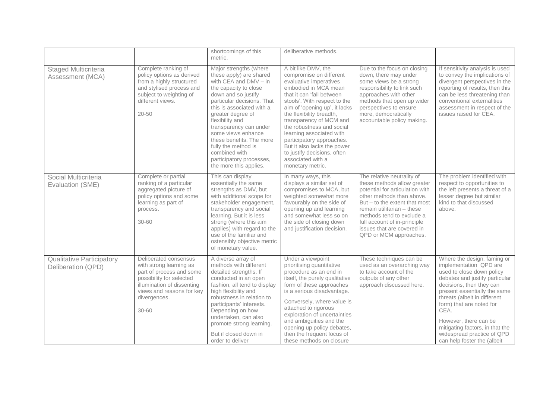|                                                        |                                                                                                                                                                                              | shortcomings of this<br>metric.                                                                                                                                                                                                                                                                                                                                                                         | deliberative methods.                                                                                                                                                                                                                                                                                                                                                                                                                              |                                                                                                                                                                                                                                                                                                               |                                                                                                                                                                                                                                                                                                                                                                               |
|--------------------------------------------------------|----------------------------------------------------------------------------------------------------------------------------------------------------------------------------------------------|---------------------------------------------------------------------------------------------------------------------------------------------------------------------------------------------------------------------------------------------------------------------------------------------------------------------------------------------------------------------------------------------------------|----------------------------------------------------------------------------------------------------------------------------------------------------------------------------------------------------------------------------------------------------------------------------------------------------------------------------------------------------------------------------------------------------------------------------------------------------|---------------------------------------------------------------------------------------------------------------------------------------------------------------------------------------------------------------------------------------------------------------------------------------------------------------|-------------------------------------------------------------------------------------------------------------------------------------------------------------------------------------------------------------------------------------------------------------------------------------------------------------------------------------------------------------------------------|
| Staged Multicriteria<br>Assessment (MCA)               | Complete ranking of<br>policy options as derived<br>from a highly structured<br>and stylised process and<br>subject to weighting of<br>different views.<br>$20 - 50$                         | Major strengths (where<br>these apply) are shared<br>with CEA and DMV - in<br>the capacity to close<br>down and so justify<br>particular decisions. That<br>this is associated with a<br>greater degree of<br>flexibility and<br>transparency can under<br>some views enhance<br>these benefits. The more<br>fully the method is<br>combined with<br>participatory processes,<br>the more this applies. | A bit like DMV, the<br>compromise on different<br>evaluative imperatives<br>embodied in MCA mean<br>that it can 'fall between<br>stools'. With respect to the<br>aim of 'opening up', it lacks<br>the flexibility breadth,<br>transparency of MCM and<br>the robustness and social<br>learning associated with<br>participatory approaches.<br>But it also lacks the power<br>to justify decisions, often<br>associated with a<br>monetary metric. | Due to the focus on closing<br>down, there may under<br>some views be a strong<br>responsibility to link such<br>approaches with other<br>methods that open up wider<br>perspectives to ensure<br>more, democratically<br>accountable policy making.                                                          | If sensitivity analysis is used<br>to convey the implications of<br>divergent perspectives in the<br>reporting of results, then this<br>can be less threatening than<br>conventional externalities<br>assessment in respect of the<br>issues raised for CEA.                                                                                                                  |
| Social Multicriteria<br>Evaluation (SME)               | Complete or partial<br>ranking of a particular<br>aggregated picture of<br>policy options and some<br>learning as part of<br>process.<br>$30 - 60$                                           | This can display<br>essentially the same<br>strengths as DMV, but<br>with additional scope for<br>stakeholder engagement,<br>transparency and social<br>learning. But it is less<br>strong (where this aim<br>applies) with regard to the<br>use of the familiar and<br>ostensibly objective metric<br>of monetary value.                                                                               | In many ways, this<br>displays a similar set of<br>compromises to MCA, but<br>weighted somewhat more<br>favourably on the side of<br>opening up and learning<br>and somewhat less so on<br>the side of closing down<br>and justification decision.                                                                                                                                                                                                 | The relative neutrality of<br>these methods allow greater<br>potential for articulation with<br>other methods than above.<br>But - to the extent that most<br>remain utilitarian - these<br>methods tend to exclude a<br>full account of in-principle<br>issues that are covered in<br>QPD or MCM approaches. | The problem identified with<br>respect to opportunities to<br>the left presents a threat of a<br>lesser degree but similar<br>kind to that discussed<br>above.                                                                                                                                                                                                                |
| <b>Qualitative Participatory</b><br>Deliberation (QPD) | Deliberated consensus<br>with strong learning as<br>part of process and some<br>possibility for selected<br>illumination of dissenting<br>views and reasons for key<br>divergences.<br>30-60 | A diverse array of<br>methods with different<br>detailed strengths. If<br>conducted in an open<br>fashion, all tend to display<br>high flexibility and<br>robustness in relation to<br>participants' interests.<br>Depending on how<br>undertaken, can also<br>promote strong learning.<br>But if closed down in<br>order to deliver                                                                    | Under a viewpoint<br>prioritising quantitative<br>procedure as an end in<br>itself, the purely qualitative<br>form of these approaches<br>is a serious disadvantage.<br>Conversely, where value is<br>attached to rigorous<br>exploration of uncertainties<br>and ambiguities and the<br>opening up policy debates,<br>then the frequent focus of<br>these methods on closure                                                                      | These techniques can be<br>used as an overarching way<br>to take account of the<br>outputs of any other<br>approach discussed here.                                                                                                                                                                           | Where the design, faming or<br>implementation QPD are<br>used to close down policy<br>debates and justify particular<br>decisions, then they can<br>present essentially the same<br>threats (albeit in different<br>form) that are noted for<br>CEA.<br>However, there can be<br>mitigating factors, in that the<br>widespread practice of QPD<br>can help foster the (albeit |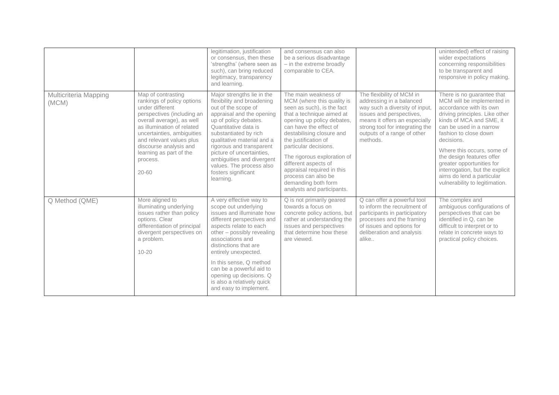|                                |                                                                                                                                                                                                                                                                                                      | legitimation, justification<br>or consensus, then these<br>'strengths' (where seen as<br>such), can bring reduced<br>legitimacy, transparency<br>and learning.                                                                                                                                                                                                                    | and consensus can also<br>be a serious disadvantage<br>- in the extreme broadly<br>comparable to CEA.                                                                                                                                                                                                                                                                                                                |                                                                                                                                                                                                                                    | unintended) effect of raising<br>wider expectations<br>concerning responsibilities<br>to be transparent and<br>responsive in policy making.                                                                                                                                                                                                                                                                   |
|--------------------------------|------------------------------------------------------------------------------------------------------------------------------------------------------------------------------------------------------------------------------------------------------------------------------------------------------|-----------------------------------------------------------------------------------------------------------------------------------------------------------------------------------------------------------------------------------------------------------------------------------------------------------------------------------------------------------------------------------|----------------------------------------------------------------------------------------------------------------------------------------------------------------------------------------------------------------------------------------------------------------------------------------------------------------------------------------------------------------------------------------------------------------------|------------------------------------------------------------------------------------------------------------------------------------------------------------------------------------------------------------------------------------|---------------------------------------------------------------------------------------------------------------------------------------------------------------------------------------------------------------------------------------------------------------------------------------------------------------------------------------------------------------------------------------------------------------|
| Multicriteria Mapping<br>(MCM) | Map of contrasting<br>rankings of policy options<br>under different<br>perspectives (including an<br>overall average), as well<br>as illumination of related<br>uncertainties, ambiguities<br>and relevant values plus<br>discourse analysis and<br>learning as part of the<br>process.<br>$20 - 60$ | Major strengths lie in the<br>flexibility and broadening<br>out of the scope of<br>appraisal and the opening<br>up of policy debates.<br>Quantitative data is<br>substantiated by rich<br>qualitative material and a<br>rigorous and transparent<br>picture of uncertainties.<br>ambiguities and divergent<br>values. The process also<br>fosters significant<br>learning.        | The main weakness of<br>MCM (where this quality is<br>seen as such), is the fact<br>that a technique aimed at<br>opening up policy debates,<br>can have the effect of<br>destabilising closure and<br>the justification of<br>particular decisions.<br>The rigorous exploration of<br>different aspects of<br>appraisal required in this<br>process can also be<br>demanding both form<br>analysts and participants. | The flexibility of MCM in<br>addressing in a balanced<br>way such a diversity of input,<br>issues and perspectives,<br>means it offers an especially<br>strong tool for integrating the<br>outputs of a range of other<br>methods. | There is no guarantee that<br>MCM will be implemented in<br>accordance with its own<br>driving principles. Like other<br>kinds of MCA and SME, it<br>can be used in a narrow<br>fashion to close down<br>decisions.<br>Where this occurs, some of<br>the design features offer<br>greater opportunities for<br>interrogation, but the explicit<br>aims do lend a particular<br>vulnerability to legitimation. |
| Q Method (QME)                 | More aligned to<br>illuminating underlying<br>issues rather than policy<br>options. Clear<br>differentiation of principal<br>divergent perspectives on<br>a problem.<br>$10 - 20$                                                                                                                    | A very effective way to<br>scope out underlying<br>issues and illuminate how<br>different perspectives and<br>aspects relate to each<br>other – possibly revealing<br>associations and<br>distinctions that are<br>entirely unexpected.<br>In this sense, Q method<br>can be a powerful aid to<br>opening up decisions. Q<br>is also a relatively quick<br>and easy to implement. | Q is not primarily geared<br>towards a focus on<br>concrete policy actions, but<br>rather at understanding the<br>issues and perspectives<br>that determine how these<br>are viewed.                                                                                                                                                                                                                                 | Q can offer a powerful tool<br>to inform the recruitment of<br>participants in participatory<br>processes and the framing<br>of issues and options for<br>deliberation and analysis<br>alike                                       | The complex and<br>ambiguous configurations of<br>perspectives that can be<br>identified in Q, can be<br>difficult to interpret or to<br>relate in concrete ways to<br>practical policy choices.                                                                                                                                                                                                              |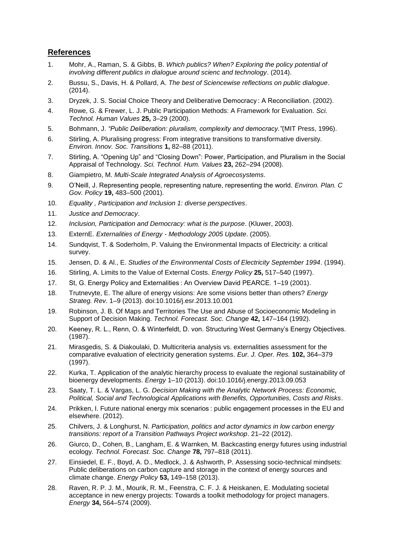#### **References**

- 1. Mohr, A., Raman, S. & Gibbs, B. *Which publics? When? Exploring the policy potential of involving different publics in dialogue around scienc and technology*. (2014).
- 2. Bussu, S., Davis, H. & Pollard, A. *The best of Sciencewise reflections on public dialogue*. (2014).
- 3. Dryzek, J. S. Social Choice Theory and Deliberative Democracy : A Reconciliation. (2002).
- 4. Rowe, G. & Frewer, L. J. Public Participation Methods: A Framework for Evaluation. *Sci. Technol. Human Values* **25,** 3–29 (2000).
- 5. Bohmann, J. *"Public Deliberation: pluralism, complexity and democracy."*(MIT Press, 1996).
- 6. Stirling, A. Pluralising progress: From integrative transitions to transformative diversity. *Environ. Innov. Soc. Transitions* **1,** 82–88 (2011).
- 7. Stirling, A. "Opening Up" and "Closing Down": Power, Participation, and Pluralism in the Social Appraisal of Technology. *Sci. Technol. Hum. Values* **23,** 262–294 (2008).
- 8. Giampietro, M. *Multi-Scale Integrated Analysis of Agroecosystems*.
- 9. O'Neill, J. Representing people, representing nature, representing the world. *Environ. Plan. C Gov. Policy* **19,** 483–500 (2001).
- 10. *Equality , Participation and Inclusion 1: diverse perspectives*.
- 11. *Justice and Democracy*.
- 12. *Inclusion, Participation and Democracy: what is the purpose*. (Kluwer, 2003).
- 13. ExternE. *Externalities of Energy - Methodology 2005 Update*. (2005).
- 14. Sundqvist, T. & Soderholm, P. Valuing the Environmental Impacts of Electricity: a critical survey.
- 15. Jensen, D. & Al., E. *Studies of the Environmental Costs of Electricity September 1994*. (1994).
- 16. Stirling, A. Limits to the Value of External Costs. *Energy Policy* **25,** 517–540 (1997).
- 17. St, G. Energy Policy and Externalities : An Overview David PEARCE. 1–19 (2001).
- 18. Trutnevyte, E. The allure of energy visions: Are some visions better than others? *Energy Strateg. Rev.* 1–9 (2013). doi:10.1016/j.esr.2013.10.001
- 19. Robinson, J. B. Of Maps and Territories The Use and Abuse of Socioeconomic Modeling in Support of Decision Making. *Technol. Forecast. Soc. Change* **42,** 147–164 (1992).
- 20. Keeney, R. L., Renn, O. & Winterfeldt, D. von. Structuring West Germany's Energy Objectives. (1987).
- 21. Mirasgedis, S. & Diakoulaki, D. Multicriteria analysis vs. externalities assessment for the comparative evaluation of electricity generation systems. *Eur. J. Oper. Res.* **102,** 364–379 (1997).
- 22. Kurka, T. Application of the analytic hierarchy process to evaluate the regional sustainability of bioenergy developments. *Energy* 1–10 (2013). doi:10.1016/j.energy.2013.09.053
- 23. Saaty, T. L. & Vargas, L. G. *Decision Making with the Analytic Network Process: Economic, Political, Social and Technological Applications with Benefits, Opportunities, Costs and Risks*.
- 24. Prikken, I. Future national energy mix scenarios : public engagement processes in the EU and elsewhere. (2012).
- 25. Chilvers, J. & Longhurst, N. *Participation, politics and actor dynamics in low carbon energy transitions: report of a Transition Pathways Project workshop*. 21–22 (2012).
- 26. Giurco, D., Cohen, B., Langham, E. & Warnken, M. Backcasting energy futures using industrial ecology. *Technol. Forecast. Soc. Change* **78,** 797–818 (2011).
- 27. Einsiedel, E. F., Boyd, A. D., Medlock, J. & Ashworth, P. Assessing socio-technical mindsets: Public deliberations on carbon capture and storage in the context of energy sources and climate change. *Energy Policy* **53,** 149–158 (2013).
- 28. Raven, R. P. J. M., Mourik, R. M., Feenstra, C. F. J. & Heiskanen, E. Modulating societal acceptance in new energy projects: Towards a toolkit methodology for project managers. *Energy* **34,** 564–574 (2009).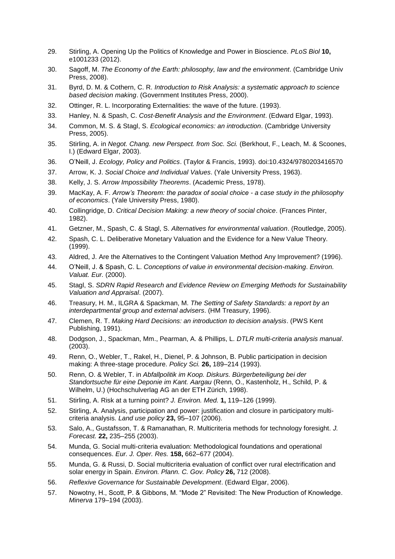- 29. Stirling, A. Opening Up the Politics of Knowledge and Power in Bioscience. *PLoS Biol* **10,** e1001233 (2012).
- 30. Sagoff, M. *The Economy of the Earth: philosophy, law and the environment*. (Cambridge Univ Press, 2008).
- 31. Byrd, D. M. & Cothern, C. R. *Introduction to Risk Analysis: a systematic approach to science based decision making*. (Government Institutes Press, 2000).
- 32. Ottinger, R. L. Incorporating Externalities: the wave of the future. (1993).
- 33. Hanley, N. & Spash, C. *Cost-Benefit Analysis and the Environment*. (Edward Elgar, 1993).
- 34. Common, M. S. & Stagl, S. *Ecological economics: an introduction*. (Cambridge University Press, 2005).
- 35. Stirling, A. in *Negot. Chang. new Perspect. from Soc. Sci.* (Berkhout, F., Leach, M. & Scoones, I.) (Edward Elgar, 2003).
- 36. O'Neill, J. *Ecology, Policy and Politics*. (Taylor & Francis, 1993). doi:10.4324/9780203416570
- 37. Arrow, K. J. *Social Choice and Individual Values*. (Yale University Press, 1963).
- 38. Kelly, J. S. *Arrow Impossibility Theorems*. (Academic Press, 1978).
- 39. MacKay, A. F. *Arrow's Theorem: the paradox of social choice - a case study in the philosophy of economics*. (Yale University Press, 1980).
- 40. Collingridge, D. *Critical Decision Making: a new theory of social choice*. (Frances Pinter, 1982).
- 41. Getzner, M., Spash, C. & Stagl, S. *Alternatives for environmental valuation*. (Routledge, 2005).
- 42. Spash, C. L. Deliberative Monetary Valuation and the Evidence for a New Value Theory. (1999).
- 43. Aldred, J. Are the Alternatives to the Contingent Valuation Method Any Improvement? (1996).
- 44. O'Neill, J. & Spash, C. L. *Conceptions of value in environmental decision-making*. *Environ. Valuat. Eur.* (2000).
- 45. Stagl, S. *SDRN Rapid Research and Evidence Review on Emerging Methods for Sustainability Valuation and Appraisal*. (2007).
- 46. Treasury, H. M., ILGRA & Spackman, M. *The Setting of Safety Standards: a report by an interdepartmental group and external advisers*. (HM Treasury, 1996).
- 47. Clemen, R. T. *Making Hard Decisions: an introduction to decision analysis*. (PWS Kent Publishing, 1991).
- 48. Dodgson, J., Spackman, Mm., Pearman, A. & Phillips, L. *DTLR multi-criteria analysis manual*. (2003).
- 49. Renn, O., Webler, T., Rakel, H., Dienel, P. & Johnson, B. Public participation in decision making: A three-stage procedure. *Policy Sci.* **26,** 189–214 (1993).
- 50. Renn, O. & Webler, T. in *Abfallpolitik im Koop. Diskurs. Bürgerbeteiligung bei der Standortsuche für eine Deponie im Kant. Aargau* (Renn, O., Kastenholz, H., Schild, P. & Wilhelm, U.) (Hochschulverlag AG an der ETH Zürich, 1998).
- 51. Stirling, A. Risk at a turning point? *J. Environ. Med.* **1,** 119–126 (1999).
- 52. Stirling, A. Analysis, participation and power: justification and closure in participatory multicriteria analysis. *Land use policy* **23,** 95–107 (2006).
- 53. Salo, A., Gustafsson, T. & Ramanathan, R. Multicriteria methods for technology foresight. *J. Forecast.* **22,** 235–255 (2003).
- 54. Munda, G. Social multi-criteria evaluation: Methodological foundations and operational consequences. *Eur. J. Oper. Res.* **158,** 662–677 (2004).
- 55. Munda, G. & Russi, D. Social multicriteria evaluation of conflict over rural electrification and solar energy in Spain. *Environ. Plann. C. Gov. Policy* **26,** 712 (2008).
- 56. *Reflexive Governance for Sustainable Development*. (Edward Elgar, 2006).
- 57. Nowotny, H., Scott, P. & Gibbons, M. "Mode 2" Revisited: The New Production of Knowledge. *Minerva* 179–194 (2003).